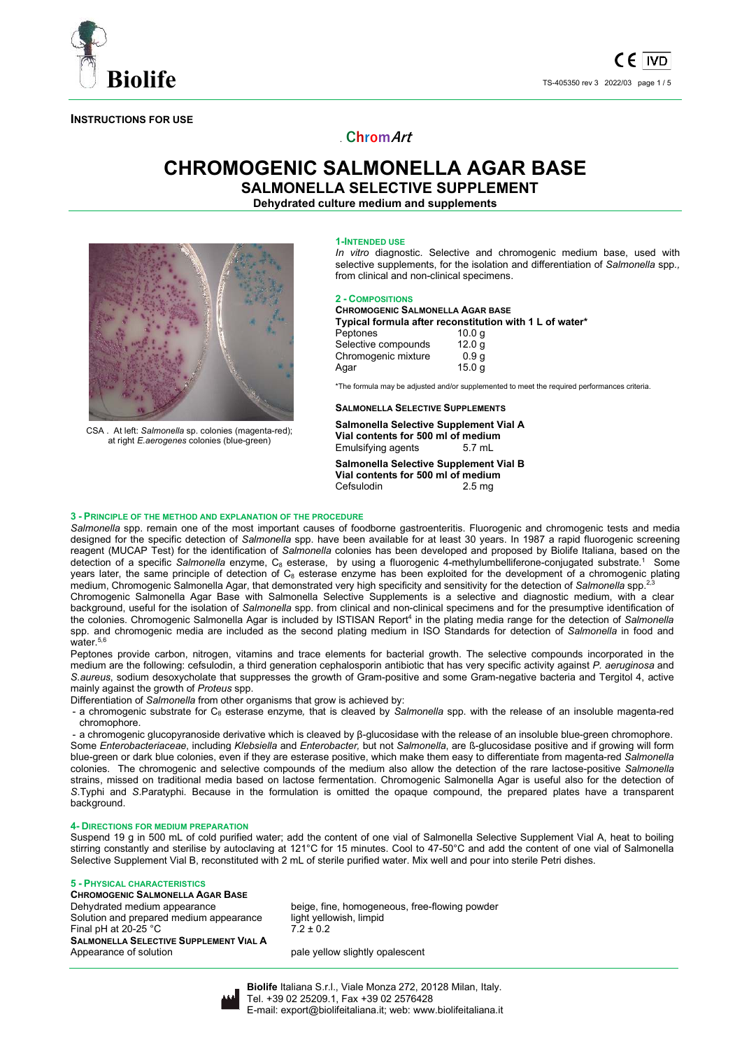

**INSTRUCTIONS FOR USE** 

# . **ChromArt**

# **CHROMOGENIC SALMONELLA AGAR BASE SALMONELLA SELECTIVE SUPPLEMENT**

**Dehydrated culture medium and supplements** 



CSA . At left: *Salmonella* sp. colonies (magenta-red); at right *E.aerogenes* colonies (blue-green)

#### **1-INTENDED USE**

*In vitro* diagnostic. Selective and chromogenic medium base, used with selective supplements, for the isolation and differentiation of *Salmonella* spp*.,* from clinical and non-clinical specimens.

#### **2 - COMPOSITIONS**

#### **CHROMOGENIC SALMONELLA AGAR BASE Typical formula after reconstitution with 1 L of water\***

| <b>I</b> ypical formula after reconstitution with TE of |                   |  |
|---------------------------------------------------------|-------------------|--|
| Peptones                                                | 10.0 a            |  |
| Selective compounds                                     | 12.0 <sub>a</sub> |  |
| Chromogenic mixture                                     | 0.9 <sub>a</sub>  |  |
| Agar                                                    | 15.0 <sub>a</sub> |  |

\*The formula may be adjusted and/or supplemented to meet the required performances criteria.

#### **SALMONELLA SELECTIVE SUPPLEMENTS**

**Salmonella Selective Supplement Vial A Vial contents for 500 ml of medium**  Emulsifying agents

**Salmonella Selective Supplement Vial B Vial contents for 500 ml of medium**  Cefsulodin 2.5 mg

### **3 - PRINCIPLE OF THE METHOD AND EXPLANATION OF THE PROCEDURE**

*Salmonella* spp. remain one of the most important causes of foodborne gastroenteritis. Fluorogenic and chromogenic tests and media designed for the specific detection of *Salmonella* spp. have been available for at least 30 years. In 1987 a rapid fluorogenic screening reagent (MUCAP Test) for the identification of *Salmonella* colonies has been developed and proposed by Biolife Italiana, based on the detection of a specific Salmonella enzyme, C<sub>8</sub> esterase, by using a fluorogenic 4-methylumbelliferone-conjugated substrate.<sup>1</sup> Some years later, the same principle of detection of C<sub>8</sub> esterase enzyme has been exploited for the development of a chromogenic plating medium, Chromogenic Salmonella Agar, that demonstrated very high specificity and sensitivity for the detection of *Salmonella* spp.2,3

Chromogenic Salmonella Agar Base with Salmonella Selective Supplements is a selective and diagnostic medium, with a clear background, useful for the isolation of *Salmonella* spp. from clinical and non-clinical specimens and for the presumptive identification of the colonies. Chromogenic Salmonella Agar is included by ISTISAN Report<sup>4</sup> in the plating media range for the detection of Sal*monella* spp. and chromogenic media are included as the second plating medium in ISO Standards for detection of *Salmonella* in food and water.<sup>5,6</sup>

Peptones provide carbon, nitrogen, vitamins and trace elements for bacterial growth. The selective compounds incorporated in the medium are the following: cefsulodin, a third generation cephalosporin antibiotic that has very specific activity against *P. aeruginosa* and *S.aureus*, sodium desoxycholate that suppresses the growth of Gram-positive and some Gram-negative bacteria and Tergitol 4, active mainly against the growth of *Proteus* spp.

Differentiation of *Salmonella* from other organisms that grow is achieved by:

- a chromogenic substrate for C<sub>8</sub> esterase enzyme, that is cleaved by *Salmonella* spp. with the release of an insoluble magenta-red chromophore.

- a chromogenic glucopyranoside derivative which is cleaved by β-glucosidase with the release of an insoluble blue-green chromophore. Some *Enterobacteriaceae*, including *Klebsiella* and *Enterobacter,* but not *Salmonella*, are ß-glucosidase positive and if growing will form blue-green or dark blue colonies, even if they are esterase positive, which make them easy to differentiate from magenta-red *Salmonella* colonies. The chromogenic and selective compounds of the medium also allow the detection of the rare lactose-positive *Salmonella*  strains, missed on traditional media based on lactose fermentation. Chromogenic Salmonella Agar is useful also for the detection of *S*.Typhi and *S*.Paratyphi. Because in the formulation is omitted the opaque compound, the prepared plates have a transparent background.

### **4- DIRECTIONS FOR MEDIUM PREPARATION**

Suspend 19 g in 500 mL of cold purified water; add the content of one vial of Salmonella Selective Supplement Vial A, heat to boiling stirring constantly and sterilise by autoclaving at 121°C for 15 minutes. Cool to 47-50°C and add the content of one vial of Salmonella Selective Supplement Vial B, reconstituted with 2 mL of sterile purified water. Mix well and pour into sterile Petri dishes.

## **5 - PHYSICAL CHARACTERISTICS**

**CHROMOGENIC SALMONELLA AGAR BASE** Solution and prepared medium appearance Final pH at 20-25 °C  $7.2 \pm 0.2$ **SALMONELLA SELECTIVE SUPPLEMENT VIAL A** 

beige, fine, homogeneous, free-flowing powder<br>light yellowish, limpid

pale yellow slightly opalescent



**Biolife** Italiana S.r.l., Viale Monza 272, 20128 Milan, Italy. Tel. +39 02 25209.1, Fax +39 02 2576428 E-mail: export@biolifeitaliana.it; web: www.biolifeitaliana.it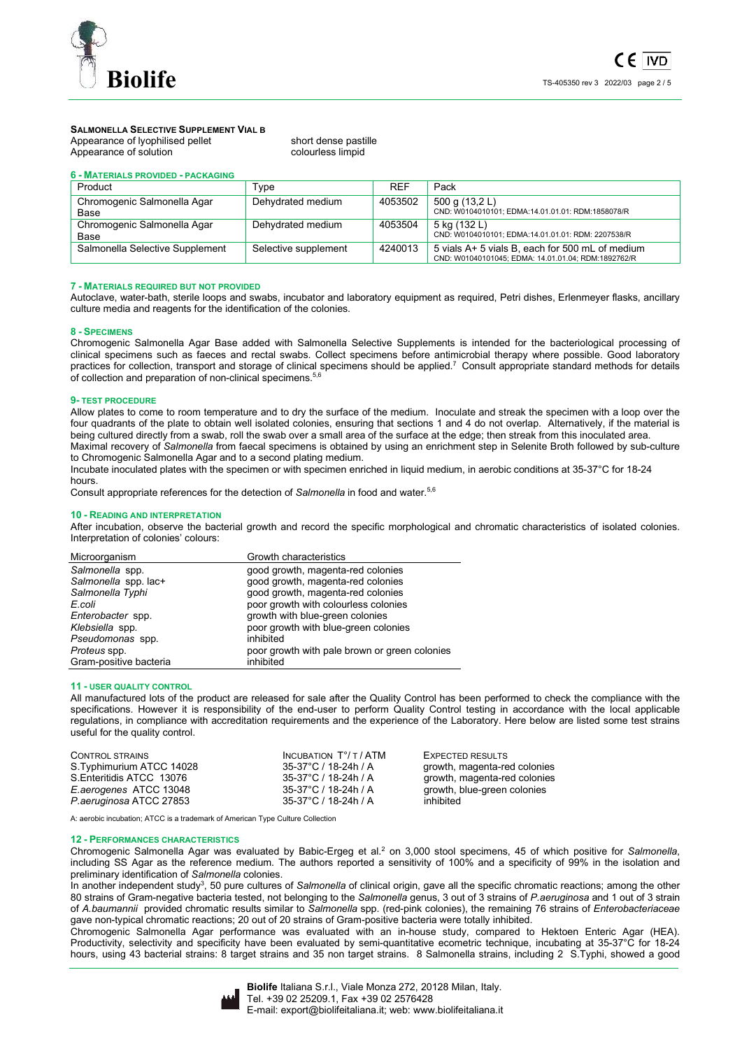

## **SALMONELLA SELECTIVE SUPPLEMENT VIAL B**

Appearance of lyophilised pellet short dense pastille Appearance of solution and colourless limpid

| 6 - MATERIALS PROVIDED - PACKAGING  |                      |            |                                                                                                        |
|-------------------------------------|----------------------|------------|--------------------------------------------------------------------------------------------------------|
| Product                             | Type                 | <b>REF</b> | Pack                                                                                                   |
| Chromogenic Salmonella Agar<br>Base | Dehydrated medium    | 4053502    | 500 g (13,2 L)<br>CND: W0104010101; EDMA:14.01.01.01: RDM:1858078/R                                    |
| Chromogenic Salmonella Agar<br>Base | Dehydrated medium    | 4053504    | 5 kg (132 L)<br>CND: W0104010101; EDMA:14.01.01.01: RDM: 2207538/R                                     |
| Salmonella Selective Supplement     | Selective supplement | 4240013    | 5 vials A+ 5 vials B, each for 500 mL of medium<br>CND: W01040101045; EDMA: 14.01.01.04; RDM:1892762/R |

#### **7 - MATERIALS REQUIRED BUT NOT PROVIDED**

Autoclave, water-bath, sterile loops and swabs, incubator and laboratory equipment as required, Petri dishes, Erlenmeyer flasks, ancillary culture media and reagents for the identification of the colonies.

#### **8 - SPECIMENS**

Chromogenic Salmonella Agar Base added with Salmonella Selective Supplements is intended for the bacteriological processing of clinical specimens such as faeces and rectal swabs. Collect specimens before antimicrobial therapy where possible. Good laboratory practices for collection, transport and storage of clinical specimens should be applied.<sup>7</sup> Consult appropriate standard methods for details of collection and preparation of non-clinical specimens.<sup>5,6</sup>

#### **9- TEST PROCEDURE**

Allow plates to come to room temperature and to dry the surface of the medium. Inoculate and streak the specimen with a loop over the four quadrants of the plate to obtain well isolated colonies, ensuring that sections 1 and 4 do not overlap. Alternatively, if the material is being cultured directly from a swab, roll the swab over a small area of the surface at the edge; then streak from this inoculated area. Maximal recovery of *Salmonella* from faecal specimens is obtained by using an enrichment step in Selenite Broth followed by sub-culture to Chromogenic Salmonella Agar and to a second plating medium.

Incubate inoculated plates with the specimen or with specimen enriched in liquid medium, in aerobic conditions at 35-37°C for 18-24 hours.

Consult appropriate references for the detection of *Salmonella* in food and water.<sup>5,6</sup>

#### **10 - READING AND INTERPRETATION**

After incubation, observe the bacterial growth and record the specific morphological and chromatic characteristics of isolated colonies. Interpretation of colonies' colours:

| Microorganism          | Growth characteristics                        |
|------------------------|-----------------------------------------------|
| Salmonella spp.        | good growth, magenta-red colonies             |
| Salmonella spp. lac+   | good growth, magenta-red colonies             |
| Salmonella Typhi       | good growth, magenta-red colonies             |
| E.coli                 | poor growth with colourless colonies          |
| Enterobacter spp.      | growth with blue-green colonies               |
| Klebsiella spp.        | poor growth with blue-green colonies          |
| Pseudomonas spp.       | inhibited                                     |
| Proteus spp.           | poor growth with pale brown or green colonies |
| Gram-positive bacteria | inhibited                                     |
|                        |                                               |

#### **11 - USER QUALITY CONTROL**

All manufactured lots of the product are released for sale after the Quality Control has been performed to check the compliance with the specifications. However it is responsibility of the end-user to perform Quality Control testing in accordance with the local applicable regulations, in compliance with accreditation requirements and the experience of the Laboratory. Here below are listed some test strains useful for the quality control.

| <b>CONTROL STRAINS</b>    | INCUBATION T°/ T / ATM | <b>EXPECTED RESULTS</b>      |
|---------------------------|------------------------|------------------------------|
| S. Typhimurium ATCC 14028 | 35-37°C / 18-24h / A   | growth, magenta-red colonies |
| S. Enteritidis ATCC 13076 | 35-37°C / 18-24h / A   | growth, magenta-red colonies |
| E.aerogenes ATCC 13048    | 35-37°C / 18-24h / A   | growth, blue-green colonies  |
| P. aeruginosa ATCC 27853  | 35-37°C / 18-24h / A   | inhibited                    |

A: aerobic incubation; ATCC is a trademark of American Type Culture Collection

#### **12 - PERFORMANCES CHARACTERISTICS**

Chromogenic Salmonella Agar was evaluated by Babic-Ergeg et al.<sup>2</sup> on 3,000 stool specimens, 45 of which positive for Salmonella, including SS Agar as the reference medium. The authors reported a sensitivity of 100% and a specificity of 99% in the isolation and preliminary identification of *Salmonella* colonies.

In another independent study<sup>3</sup>, 50 pure cultures of Salmonella of clinical origin, gave all the specific chromatic reactions; among the other 80 strains of Gram-negative bacteria tested, not belonging to the *Salmonella* genus, 3 out of 3 strains of *P.aeruginosa* and 1 out of 3 strain of *A.baumannii* provided chromatic results similar to *Salmonella* spp. (red-pink colonies), the remaining 76 strains of *Enterobacteriaceae* gave non-typical chromatic reactions; 20 out of 20 strains of Gram-positive bacteria were totally inhibited.

Chromogenic Salmonella Agar performance was evaluated with an in-house study, compared to Hektoen Enteric Agar (HEA). Productivity, selectivity and specificity have been evaluated by semi-quantitative ecometric technique, incubating at 35-37°C for 18-24 hours, using 43 bacterial strains: 8 target strains and 35 non target strains. 8 Salmonella strains, including 2 S.Typhi, showed a good

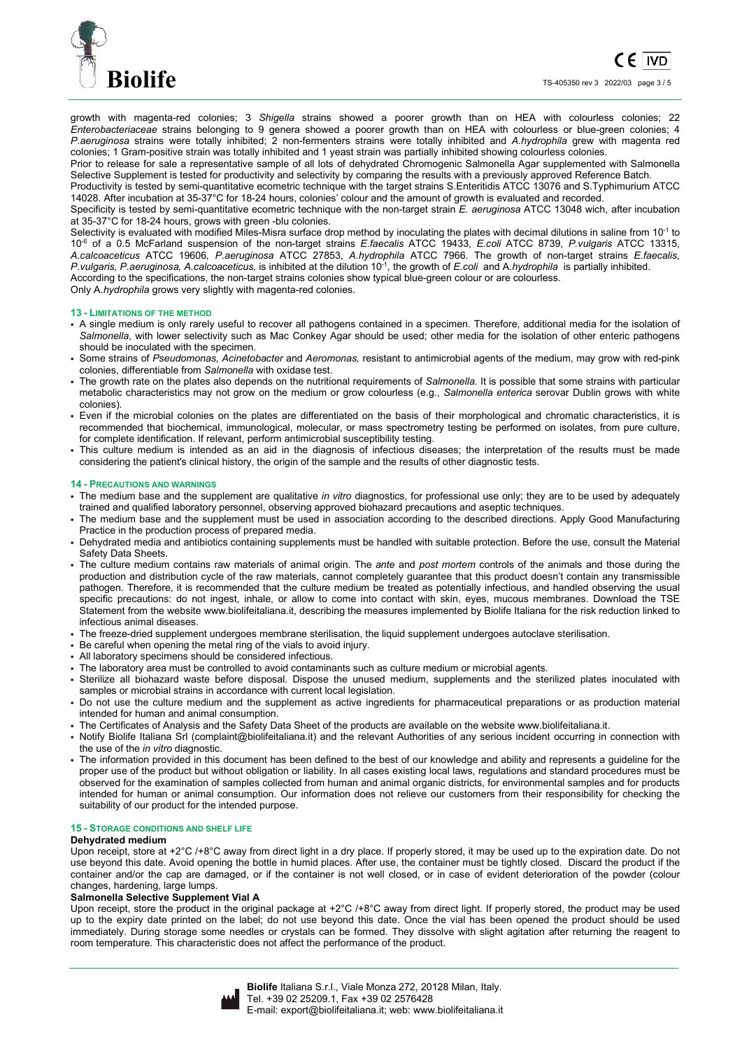

growth with magenta-red colonies; 3 *Shigella* strains showed a poorer growth than on HEA with colourless colonies; 22 *Enterobacteriaceae* strains belonging to 9 genera showed a poorer growth than on HEA with colourless or blue-green colonies; 4 *P.aeruginosa* strains were totally inhibited; 2 non-fermenters strains were totally inhibited and *A.hydrophila* grew with magenta red colonies; 1 Gram-positive strain was totally inhibited and 1 yeast strain was partially inhibited showing colourless colonies.

Prior to release for sale a representative sample of all lots of dehydrated Chromogenic Salmonella Agar supplemented with Salmonella Selective Supplement is tested for productivity and selectivity by comparing the results with a previously approved Reference Batch.

Productivity is tested by semi-quantitative ecometric technique with the target strains S.Enteritidis ATCC 13076 and S.Typhimurium ATCC 14028. After incubation at 35-37°C for 18-24 hours, colonies' colour and the amount of growth is evaluated and recorded.

Specificity is tested by semi-quantitative ecometric technique with the non-target strain *E. aeruginosa* ATCC 13048 wich, after incubation at 35-37°C for 18-24 hours, grows with green -blu colonies.

Selectivity is evaluated with modified Miles-Misra surface drop method by inoculating the plates with decimal dilutions in saline from 10<sup>-1</sup> to 10-6 of a 0.5 McFarland suspension of the non-target strains *E.faecalis* ATCC 19433, *E.coli* ATCC 8739, *P.vulgaris* ATCC 13315, *A.calcoaceticus* ATCC 19606*, P.aeruginosa* ATCC 27853, *A.hydrophila* ATCC 7966. The growth of non-target strains *E.faecalis, P.vulgaris, P.aeruginosa, A.calcoaceticus,* is inhibited at the dilution 10-1, the growth of *E.coli* and A*.hydrophila* is partially inhibited. According to the specifications, the non-target strains colonies show typical blue-green colour or are colourless.

Only A*.hydrophila* grows very slightly with magenta-red colonies.

#### **13 - LIMITATIONS OF THE METHOD**

- A single medium is only rarely useful to recover all pathogens contained in a specimen. Therefore, additional media for the isolation of *Salmonella*, with lower selectivity such as Mac Conkey Agar should be used; other media for the isolation of other enteric pathogens should be inoculated with the specimen.
- Some strains of *Pseudomonas, Acinetobacter* and *Aeromonas,* resistant to antimicrobial agents of the medium, may grow with red-pink colonies, differentiable from *Salmonella* with oxidase test.
- The growth rate on the plates also depends on the nutritional requirements of *Salmonella*. It is possible that some strains with particular metabolic characteristics may not grow on the medium or grow colourless (e.g., *Salmonella enterica* serovar Dublin grows with white colonies).
- Even if the microbial colonies on the plates are differentiated on the basis of their morphological and chromatic characteristics, it is recommended that biochemical, immunological, molecular, or mass spectrometry testing be performed on isolates, from pure culture, for complete identification. If relevant, perform antimicrobial susceptibility testing.
- This culture medium is intended as an aid in the diagnosis of infectious diseases; the interpretation of the results must be made considering the patient's clinical history, the origin of the sample and the results of other diagnostic tests.

#### **14 - PRECAUTIONS AND WARNINGS**

- The medium base and the supplement are qualitative *in vitro* diagnostics, for professional use only; they are to be used by adequately trained and qualified laboratory personnel, observing approved biohazard precautions and aseptic techniques.
- The medium base and the supplement must be used in association according to the described directions. Apply Good Manufacturing Practice in the production process of prepared media.
- Dehydrated media and antibiotics containing supplements must be handled with suitable protection. Before the use, consult the Material Safety Data Sheets.
- The culture medium contains raw materials of animal origin. The *ante* and *post mortem* controls of the animals and those during the production and distribution cycle of the raw materials, cannot completely guarantee that this product doesn't contain any transmissible pathogen. Therefore, it is recommended that the culture medium be treated as potentially infectious, and handled observing the usual specific precautions: do not ingest, inhale, or allow to come into contact with skin, eyes, mucous membranes. Download the TSE Statement from the website www.biolifeitaliana.it, describing the measures implemented by Biolife Italiana for the risk reduction linked to infectious animal diseases.
- The freeze-dried supplement undergoes membrane sterilisation, the liquid supplement undergoes autoclave sterilisation.
- Be careful when opening the metal ring of the vials to avoid injury.
- All laboratory specimens should be considered infectious.
- The laboratory area must be controlled to avoid contaminants such as culture medium or microbial agents.
- Sterilize all biohazard waste before disposal. Dispose the unused medium, supplements and the sterilized plates inoculated with samples or microbial strains in accordance with current local legislation.
- Do not use the culture medium and the supplement as active ingredients for pharmaceutical preparations or as production material intended for human and animal consumption.
- The Certificates of Analysis and the Safety Data Sheet of the products are available on the website www.biolifeitaliana.it.
- Notify Biolife Italiana Srl (complaint@biolifeitaliana.it) and the relevant Authorities of any serious incident occurring in connection with the use of the *in vitro* diagnostic.
- The information provided in this document has been defined to the best of our knowledge and ability and represents a guideline for the proper use of the product but without obligation or liability. In all cases existing local laws, regulations and standard procedures must be observed for the examination of samples collected from human and animal organic districts, for environmental samples and for products intended for human or animal consumption. Our information does not relieve our customers from their responsibility for checking the suitability of our product for the intended purpose.

## **15 - STORAGE CONDITIONS AND SHELF LIFE**

#### **Dehydrated medium**

Upon receipt, store at +2°C /+8°C away from direct light in a dry place. If properly stored, it may be used up to the expiration date. Do not use beyond this date. Avoid opening the bottle in humid places. After use, the container must be tightly closed. Discard the product if the container and/or the cap are damaged, or if the container is not well closed, or in case of evident deterioration of the powder (colour changes, hardening, large lumps.

## **Salmonella Selective Supplement Vial A**

Upon receipt, store the product in the original package at  $+2^{\circ}C$  /+8 $^{\circ}C$  away from direct light. If properly stored, the product may be used up to the expiry date printed on the label; do not use beyond this date. Once the vial has been opened the product should be used immediately. During storage some needles or crystals can be formed. They dissolve with slight agitation after returning the reagent to room temperature. This characteristic does not affect the performance of the product.

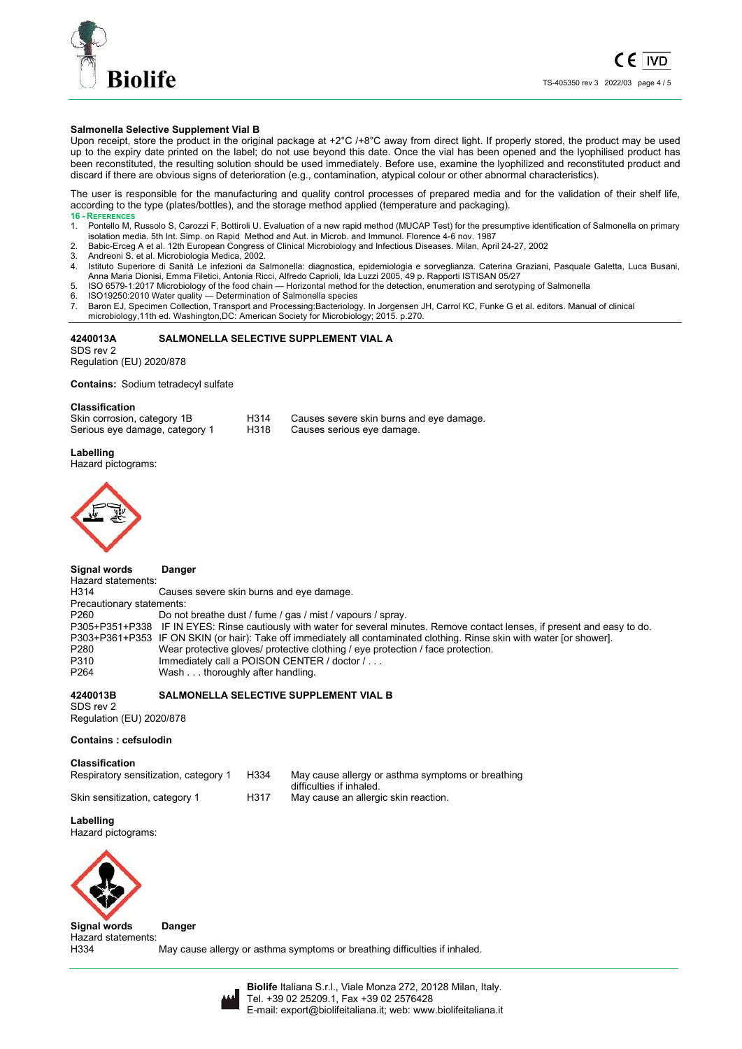

## **Salmonella Selective Supplement Vial B**

Upon receipt, store the product in the original package at  $+2^{\circ}C$  /+8 $^{\circ}C$  away from direct light. If properly stored, the product may be used up to the expiry date printed on the label; do not use beyond this date. Once the vial has been opened and the lyophilised product has been reconstituted, the resulting solution should be used immediately. Before use, examine the lyophilized and reconstituted product and discard if there are obvious signs of deterioration (e.g., contamination, atypical colour or other abnormal characteristics).

The user is responsible for the manufacturing and quality control processes of prepared media and for the validation of their shelf life, according to the type (plates/bottles), and the storage method applied (temperature and packaging).

- 16 REFERENCE 1. Pontello M, Russolo S, Carozzi F, Bottiroli U. Evaluation of a new rapid method (MUCAP Test) for the presumptive identification of Salmonella on primary isolation media. 5th Int. Simp. on Rapid Method and Aut. in Microb. and Immunol. Florence 4-6 nov. 1987
- 2. Babic-Erceg A et al. 12th European Congress of Clinical Microbiology and Infectious Diseases. Milan, April 24-27, 2002
- 3. Andreoni S. et al. Microbiologia Medica, 2002.
- Istituto Superiore di Sanità Le infezioni da Salmonella: diagnostica, epidemiologia e sorveglianza. Caterina Graziani, Pasquale Galetta, Luca Busani, Anna Maria Dionisi, Emma Filetici, Antonia Ricci, Alfredo Caprioli, Ida Luzzi 2005, 49 p. Rapporti ISTISAN 05/27
- 5. ISO 6579-1:2017 Microbiology of the food chain Horizontal method for the detection, enumeration and serotyping of Salmonella
- 6. ISO19250:2010 Water quality Determination of Salmonella species
- 7. Baron EJ, Specimen Collection, Transport and Processing:Bacteriology. In Jorgensen JH, Carrol KC, Funke G et al. editors. Manual of clinical
- microbiology,11th ed. Washington,DC: American Society for Microbiology; 2015. p.270.

## **4240013A SALMONELLA SELECTIVE SUPPLEMENT VIAL A**

SDS rev 2 Regulation (EU) 2020/878

**Contains:** Sodium tetradecyl sulfate

#### **Classification**

| Skin corrosion, category 1B    | H314 | Causes severe skin burns and eye damage. |
|--------------------------------|------|------------------------------------------|
| Serious eye damage, category 1 | H318 | Causes serious eye damage.               |

#### **Labelling**

Hazard pictograms:



#### **Signal words Danger**

Hazard statements:<br>H314 Causes severe skin burns and eye damage. Precautionary statements:<br>P260 Do no Do not breathe dust / fume / gas / mist / vapours / spray. P305+P351+P338 IF IN EYES: Rinse cautiously with water for several minutes. Remove contact lenses, if present and easy to do. P303+P361+P353 IF ON SKIN (or hair): Take off immediately all contaminated clothing. Rinse skin with water [or shower]. P280 Wear protective gloves/ protective clothing / eye protection / face protection.<br>P310 Immediately call a POISON CENTER / doctor / . . . P310 Immediately call a POISON CENTER / doctor / . . .<br>P264 Wash thoroughly after handling Wash . . . thoroughly after handling.

#### **4240013B SALMONELLA SELECTIVE SUPPLEMENT VIAL B**

SDS rev 2 Regulation (EU) 2020/878

#### **Contains : cefsulodin**

**Classification** 

| Respiratory sensitization, category 1 | H334 | May cause allergy or asthma symptoms or breathing<br>difficulties if inhaled. |
|---------------------------------------|------|-------------------------------------------------------------------------------|
| Skin sensitization, category 1        | H317 | May cause an allergic skin reaction.                                          |

## **Labelling**

Hazard pictograms:



## **Signal words Danger**

Hazard statements:<br>H334

May cause allergy or asthma symptoms or breathing difficulties if inhaled.



**Biolife** Italiana S.r.l., Viale Monza 272, 20128 Milan, Italy. Tel. +39 02 25209.1, Fax +39 02 2576428 E-mail: export@biolifeitaliana.it; web: www.biolifeitaliana.it